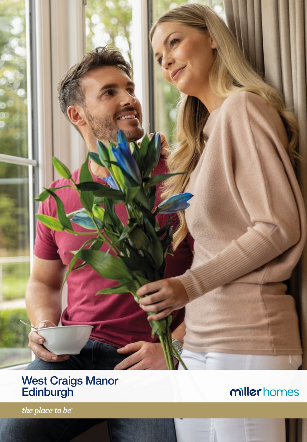

# West Craigs Manor **Edinburgh**

millerhomes

the place to be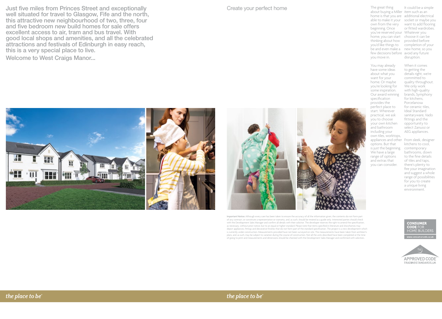Just five miles from Princes Street and exceptionally well situated for travel to Glasgow, Fife and the north, this attractive new neighbourhood of two, three, four and five bedroom new build homes for sale offers excellent access to air, tram and bus travel. With good local shops and amenities, and all the celebrated attractions and festivals of Edinburgh in easy reach, this is a very special place to live. Welcome to West Craigs Manor...

Create your perfect home

The great thing about buying a Miller item such as an home is that you are additional electrical able to make it your socket or maybe you own from the very want to add flooring beginning. Once you've reserved your Whatever you home, you can start choose it can be thinking about how provided before you'd like things to completion of your be and even make a new home, so you few decisions before avoid any future you move in. It could be a simple or fitted wardrobes. disruption.

You may already have some ideas about what you want for your home. Or maybe you're looking for some inspiration. Our award winning specification provides the perfect place to start. Wherever practical, we ask you to choose your own kitchen and bathroom including your own tiles, worktops, When it comes to getting the details right, we're committed to quality throughout. We only work with high-quality brands, Symphony for kitchens, Porcelanosa for ceramic tiles, Ideal Standard sanitaryware, Vado fittings and the opportunity to select Zanussi or AEG appliances.

appliances and other From sleek, designer is just the beginning. kitchens to cool, contemporary bathrooms, down to the fine details of tiles and taps, there's plenty to fire your imagination and suggest a whole range of possibilities for you to create

options. But that We have a large

Important Notice: Although every care has been taken to ensure the accuracy of all the information given, the contents do not form part of any contract, or constitute a representation or warranty, and, as such, should be treated as a guide only. Interested parties should check with the Development Sales Manager and confirm all details with their solicitor. The developer reserves the right to amend the specification, as necessary, without prior notice, but to an equal or higher standard. Please note that items specified in literature and showhomes may depict appliances, fittings and decorative finishes that do not form part of the standard specification. The project is a new development which is currently under construction. Measurements provided have not been surveyed on-site. The measurements have been taken from architect's plans, and, as such, may be subject to variation during the course of construction. Not all the units described have been completed at the time of going to print and measurements and dimensions should be checked with the Development Sales Manager and confirmed with solicitors.

**CONSUMER** CODE **HOME BUILDER** 





the place to be

range of options and extras that you can consider. a unique living environment.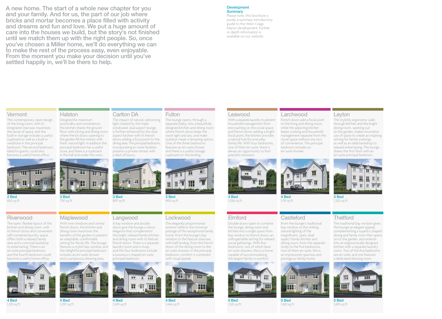A new home. The start of a whole new chapter for you and your family. And for us, the part of our job where bricks and mortar becomes a place filled with activity and dreams and fun and love. We put a huge amount of care into the houses we build, but the story's not finished until we match them up with the right people. So, once you've chosen a Miller home, we'll do everything we can to make the rest of the process easy, even enjoyable. From the moment you make your decision until you've settled happily in, we'll be there to help.

#### Development

**Summary** Please note, this brochure is purely a summary introductory guide to the West Craigs Manor development. Further in-depth information is available on our website.

#### **Vermont**

The contemporary, open design of the living room, with its integrated staircase, maximises the sense of space, and the built-in storage includes a useful cupboard as well as a built-in wardrobe in the principal bedroom. The second bedroom, ideal for guests, could also become a useful home office.



2 Bed 650 sq ft

## Riverwood

The open, flexible layout of the kitchen and dining room, with its french doors and convenient self-contained laundry space, offers both a relaxed family area and a convivial backdrop to entertaining. There is an en-suite principal bedroom and the fourth bedroom could become a useful home office.



4 Bed 1,219 sq ft



Maplewood

3 Bed 750 sq ft

Halston

Designed for maximum practicality and convenience, the kitchen shares the ground floor with a living and dining room where french doors opening to the garden fill the interior with fresh, natural light. In addition the principal bedroom has a useful store, and there is a cupboard in the hall and under the stairs.

With twin windows and central french doors, the kitchen and dining room maximises the benefits of the garden to present

4 Bed 1,297 sq ft

#### an adaptable, comfortable setting for family life. The lounge features a stylish bay window, and

a luxurious L-shaped en-suite principal bedroom. JH.

> 4 Bed 1,349 sq ft

Carlton DA

a dash of luxury.

 $H^{\text{op}}$ 

3 Bed 897 sq ft

Langwood A bay window and double doors give the lounge a classic elegance that complements' the bright, relaxed family kitchen and dining room with its feature french doors. There is a separate laundry room and a study, and the four bedrooms include

The impact of natural, welcoming light created by the triple windowed, dual aspect lounge is further enhanced by the dual aspect kitchen with its french doors adding a focal point to the dining area. The principal bedroom, incorporating en-suite facilities presents a private retreat with

# 4 Bed

1,446 sq ft



The lounge opens, through a separate lobby, into a beautifully designed kitchen and dining room where french doors keep the room light and airy, and make outdoor meals a tempting option. One of the three bedrooms features an en-suite shower and there is a useful storage cupboard on the landing.

900 sq ft

**Fulton** 

## Lockwood

The elegantly proportioned exterior reflects the immense prestige of this exceptional family home. From the lounge's bay window to the feature staircase with half landing, from the french doors of the dining room to the en-suite showers in the principal bedroom, comfort is combined with visual appeal.



5 Bed 1,510 sq ft

### Leawood

With a separate laundry to prevent household management from encroaching on the social space, and french doors adding a bright focal point, the kitchen provides a natural hub for everyday family life. With four bedrooms, one of them en-suite, there is always an opportunity to find peaceful seclusion.



French doors add a focal point to the living and dining room, while the adjoining kitchen keeps cooking and household management separate from the social space without any loss of convenience. The principal bedroom includes an en-suite shower.



4 Bed 1,119 sq ft

### **Castleford**

Double doors open to combine the lounge, dining room and kitchen into a single space from bay window to french doors, an unforgettable setting for relaxed social gatherings. With five bedrooms, two of which have en-suite showers, this is a home capable of accommodating the largest family in comfort.

4 Bed 1,036 sq ft

Elmford



The stylishly ergonomic walkthrough kitchen and the bright dining room, opening out to the garden, makes innovative use of space to create an inspiring setting for family evenings, as well as an ideal backdrop to relaxed entertaining. The lounge



3 Bed 1,202 sq ft

## **Thetford**

The traditional bay window gives the lounge an elegant appeal, complementing a superb L-shaped dining and family room that opens on to the garden, and extends into an ergonomically designed kitchen with a separate laundry room. Two of the five bedrooms are en-suite, and one features a dedicated dressing room.



5 Bed 1,693 sq ft



# an impressively spacious and Ш m

H.







5 Bed 1,601 sq ft







Leyton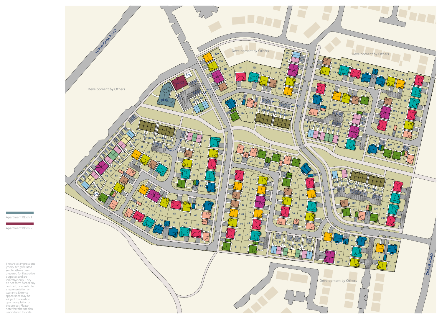

**Contract Contract Contract** Apartment Block 1

Apartment Block 2

The artist's impressions (computer-generated graphics) have been prepared for illustrative purposes and are indicative only. They do not form part of any contract, or constitute a representation or warranty. External appearance may be subject to variation upon completion of the project. Please note that the siteplan is not drawn to scale.